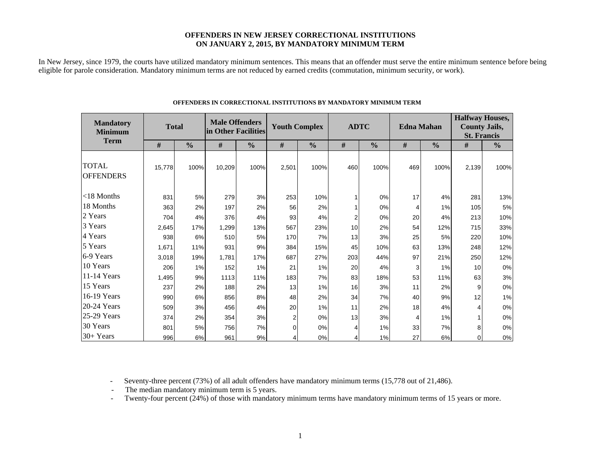#### **OFFENDERS IN NEW JERSEY CORRECTIONAL INSTITUTIONS ON JANUARY 2, 2015, BY MANDATORY MINIMUM TERM**

In New Jersey, since 1979, the courts have utilized mandatory minimum sentences. This means that an offender must serve the entire minimum sentence before being eligible for parole consideration. Mandatory minimum terms are not reduced by earned credits (commutation, minimum security, or work).

| <b>Mandatory</b><br><b>Minimum</b><br><b>Term</b> | <b>Total</b> |               | <b>Male Offenders</b><br>in Other Facilities |               | <b>Youth Complex</b> |               | <b>ADTC</b>    |               | <b>Edna Mahan</b> |               | <b>Halfway Houses,</b><br><b>County Jails,</b><br><b>St. Francis</b> |               |  |
|---------------------------------------------------|--------------|---------------|----------------------------------------------|---------------|----------------------|---------------|----------------|---------------|-------------------|---------------|----------------------------------------------------------------------|---------------|--|
|                                                   | #            | $\frac{0}{0}$ | #                                            | $\frac{0}{0}$ | #                    | $\frac{0}{0}$ | #              | $\frac{0}{0}$ | #                 | $\frac{0}{0}$ | #                                                                    | $\frac{0}{0}$ |  |
| <b>TOTAL</b><br><b>OFFENDERS</b>                  | 15,778       | 100%          | 10,209                                       | 100%          | 2,501                | 100%          | 460            | 100%          | 469               | 100%          | 2,139                                                                | 100%          |  |
| $<$ 18 Months                                     | 831          | 5%            | 279                                          | 3%            | 253                  | 10%           |                | 0%            | 17                | 4%            | 281                                                                  | 13%           |  |
| 18 Months                                         | 363          | 2%            | 197                                          | 2%            | 56                   | 2%            |                | 0%            | 4                 | 1%            | 105                                                                  | 5%            |  |
| 2 Years                                           | 704          | 4%            | 376                                          | 4%            | 93                   | 4%            | $\overline{2}$ | 0%            | 20                | 4%            | 213                                                                  | 10%           |  |
| 3 Years                                           | 2,645        | 17%           | 1,299                                        | 13%           | 567                  | 23%           | 10             | 2%            | 54                | 12%           | 715                                                                  | 33%           |  |
| 4 Years                                           | 938          | 6%            | 510                                          | 5%            | 170                  | 7%            | 13             | 3%            | 25                | 5%            | 220                                                                  | 10%           |  |
| 5 Years                                           | 1,671        | 11%           | 931                                          | 9%            | 384                  | 15%           | 45             | 10%           | 63                | 13%           | 248                                                                  | 12%           |  |
| 6-9 Years                                         | 3,018        | 19%           | 1,781                                        | 17%           | 687                  | 27%           | 203            | 44%           | 97                | 21%           | 250                                                                  | 12%           |  |
| 10 Years                                          | 206          | 1%            | 152                                          | 1%            | 21                   | 1%            | 20             | 4%            | 3                 | 1%            | 10                                                                   | 0%            |  |
| 11-14 Years                                       | 1,495        | 9%            | 1113                                         | 11%           | 183                  | 7%            | 83             | 18%           | 53                | 11%           | 63                                                                   | 3%            |  |
| 15 Years                                          | 237          | 2%            | 188                                          | 2%            | 13                   | 1%            | 16             | 3%            | 11                | 2%            | 9                                                                    | 0%            |  |
| 16-19 Years                                       | 990          | 6%            | 856                                          | 8%            | 48                   | 2%            | 34             | 7%            | 40                | 9%            | 12                                                                   | 1%            |  |
| 20-24 Years                                       | 509          | 3%            | 456                                          | 4%            | 20                   | 1%            | 11             | 2%            | 18                | 4%            |                                                                      | 0%            |  |
| 25-29 Years                                       | 374          | 2%            | 354                                          | 3%            | 2                    | 0%            | 13             | 3%            | 4                 | 1%            |                                                                      | $0\%$         |  |
| 30 Years                                          | 801          | 5%            | 756                                          | 7%            | $\Omega$             | 0%            | 4              | 1%            | 33                | 7%            | 8                                                                    | 0%            |  |
| $30+Years$                                        | 996          | 6%            | 961                                          | 9%            |                      | 0%            | 4              | 1%            | 27                | 6%            | 0                                                                    | $0\%$         |  |

#### **OFFENDERS IN CORRECTIONAL INSTITUTIONS BY MANDATORY MINIMUM TERM**

- Seventy-three percent (73%) of all adult offenders have mandatory minimum terms (15,778 out of 21,486).

- The median mandatory minimum term is 5 years.

-Twenty-four percent (24%) of those with mandatory minimum terms have mandatory minimum terms of 15 years or more.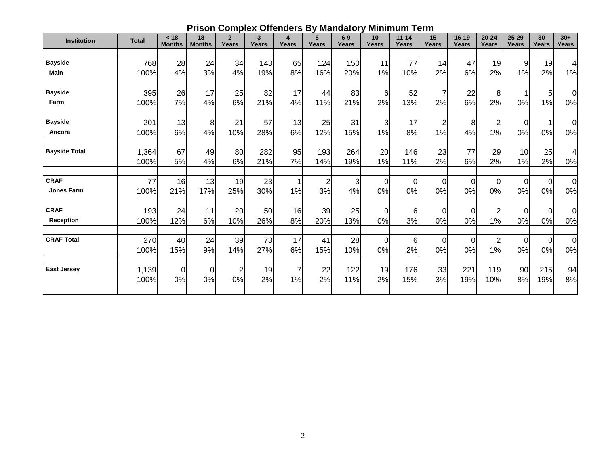| ັ້<br>               |               |                       |                     |                         |                              |            |            |                |                |                           |                    |                         |                    |                    |                    |                |  |  |  |
|----------------------|---------------|-----------------------|---------------------|-------------------------|------------------------------|------------|------------|----------------|----------------|---------------------------|--------------------|-------------------------|--------------------|--------------------|--------------------|----------------|--|--|--|
| <b>Institution</b>   | <b>Total</b>  | < 18<br><b>Months</b> | 18<br><b>Months</b> | $\overline{2}$<br>Years | $\mathbf{3}$<br><b>Years</b> | 4<br>Years | 5<br>Years | $6-9$<br>Years | 10<br>Years    | $11 - 14$<br><b>Years</b> | 15<br><b>Years</b> | $16-19$<br><b>Years</b> | $20 - 24$<br>Years | $25 - 29$<br>Years | 30<br><b>Years</b> | $30+$<br>Years |  |  |  |
|                      |               |                       |                     |                         |                              |            |            |                |                |                           |                    |                         |                    |                    |                    |                |  |  |  |
| <b>Bayside</b>       | 768           | 28                    | 24                  | 34                      | 143                          | 65         | 124        | 150            | 11             | 77                        | 14                 | 47                      | 19                 | 9                  | 19                 | 4              |  |  |  |
| <b>Main</b>          | 100%          | 4%                    | 3%                  | 4%                      | 19%                          | 8%         | 16%        | 20%            | 1%             | 10%                       | 2%                 | 6%                      | 2%                 | 1%                 | 2%                 | 1%             |  |  |  |
| <b>Bayside</b>       | 395           | 26                    | 17                  | 25                      | 82                           | 17         | 44         | 83             | 6              | 52                        | 7                  | 22                      | 8                  |                    | 5                  | $\overline{0}$ |  |  |  |
| Farm                 | 100%          | 7%                    | 4%                  | 6%                      | 21%                          | 4%         | 11%        | 21%            | 2%             | 13%                       | 2%                 | 6%                      | 2%                 | 0%                 | 1%                 | $0\%$          |  |  |  |
| <b>Bayside</b>       | 201           | 13                    | 8                   | 21                      | 57                           | 13         | 25         | 31             | 3              | 17                        | $\overline{c}$     | 8                       |                    | 0                  |                    | 0l             |  |  |  |
| Ancora               | 100%          | 6%                    | 4%                  | 10%                     | 28%                          | 6%         | 12%        | 15%            | 1%             | 8%                        | 1%                 | 4%                      | 1%                 | 0%                 | 0%                 | $0\%$          |  |  |  |
| <b>Bayside Total</b> | 1,364<br>100% | 67<br>5%              | 49<br>4%            | 80<br>6%                | 282<br>21%                   | 95<br>7%   | 193<br>14% | 264<br>19%     | 20<br>1%       | 146<br>11%                | 23<br>2%           | 77<br>6%                | 29<br>2%           | 10<br>1%           | 25<br>2%           | 4<br>0%        |  |  |  |
| <b>CRAF</b>          | 77            | 16                    | 13                  | 19                      | 23                           |            | 2          | 3              | $\overline{0}$ | 0                         | $\mathbf 0$        | $\overline{0}$          | $\Omega$           | $\Omega$           | $\Omega$           | $\overline{0}$ |  |  |  |
| <b>Jones Farm</b>    | 100%          | 21%                   | 17%                 | 25%                     | 30%                          | 1%         | 3%         | 4%             | 0%             | 0%                        | 0%                 | 0%                      | 0%                 | 0%                 | 0%                 | 0%             |  |  |  |
| <b>CRAF</b>          | 193           | 24                    | 11                  | 20                      | 50                           | 16         | 39         | 25             | 0              | 6                         | 0                  | 0l                      | 2                  | 0                  | $\Omega$           | $\overline{0}$ |  |  |  |
| <b>Reception</b>     | 100%          | 12%                   | 6%                  | 10%                     | 26%                          | 8%         | 20%        | 13%            | 0%             | 3%                        | 0%                 | 0%                      | 1%                 | 0%                 | 0%                 | 0%             |  |  |  |
| <b>CRAF Total</b>    | 270           | 40                    | 24                  | 39                      | 73                           | 17         | 41         | 28             | $\overline{0}$ | 6                         | $\mathbf 0$        | $\overline{0}$          | $\overline{2}$     | $\mathbf 0$        | $\Omega$           | $\overline{0}$ |  |  |  |
|                      | 100%          | 15%                   | 9%                  | 14%                     | 27%                          | 6%         | 15%        | 10%            | 0%             | 2%                        | 0%                 | 0%                      | 1%                 | 0%                 | 0%                 | $0\%$          |  |  |  |
| <b>East Jersey</b>   | 1,139         | 0                     | $\mathbf 0$         | $\overline{2}$          | 19                           |            | 22         | 122            | 19             | 176                       | 33                 | 221                     | 119                | 90                 | 215                | 94             |  |  |  |
|                      | 100%          | 0%                    | 0%                  | 0%                      | 2%                           | 1%         | 2%         | 11%            | 2%             | 15%                       | 3%                 | 19%                     | 10%                | 8%                 | 19%                | 8%             |  |  |  |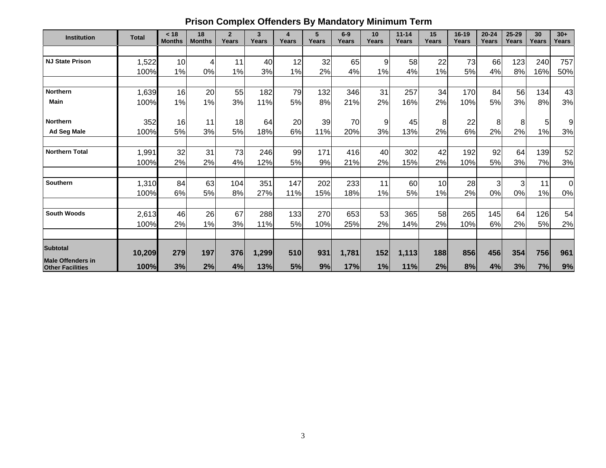# **Prison Complex Offenders By Mandatory Minimum Term**

| <b>Institution</b>       | <b>Total</b> | < 18<br><b>Months</b> | 18<br><b>Months</b> | $\overline{2}$<br>Years | $\mathbf{3}$<br>Years | 4<br>Years | 5<br>Years | $6-9$<br>Years | 10<br>Years | $11 - 14$<br>Years | 15<br>Years | 16-19<br>Years | $20 - 24$<br>Years | $25 - 29$<br>Years | 30<br>Years | $30+$<br><b>Years</b> |
|--------------------------|--------------|-----------------------|---------------------|-------------------------|-----------------------|------------|------------|----------------|-------------|--------------------|-------------|----------------|--------------------|--------------------|-------------|-----------------------|
|                          |              |                       |                     |                         |                       |            |            |                |             |                    |             |                |                    |                    |             |                       |
| <b>NJ State Prison</b>   | 1,522        | 10                    |                     | 11                      | 40                    | 12         | 32         | 65             | 9           | 58                 | 22          | 73             | 66                 | 123                | 240         | 757                   |
|                          | 100%         | 1%                    | 0%                  | 1%                      | 3%                    | 1%         | 2%         | 4%             | 1%          | 4%                 | 1%          | 5%             | 4%                 | 8%                 | 16%         | 50%                   |
|                          |              |                       |                     |                         |                       |            |            |                |             |                    |             |                |                    |                    |             |                       |
| Northern                 | 1,639        | 16                    | 20                  | 55                      | 182                   | 79         | 132        | 346            | 31          | 257                | 34          | 170            | 84                 | 56                 | 134         | 43                    |
| <b>Main</b>              | 100%         | 1%                    | 1%                  | 3%                      | 11%                   | 5%         | 8%         | 21%            | 2%          | 16%                | 2%          | 10%            | 5%                 | 3%                 | 8%          | 3%                    |
|                          |              |                       |                     |                         |                       |            |            |                |             |                    |             |                |                    |                    |             |                       |
| <b>Northern</b>          | 352          | 16                    | 11                  | 18                      | 64                    | 20         | 39         | 70             | 9           | 45                 | 8           | 22             | 8                  | 8 <sup>1</sup>     | 5           | 9                     |
| <b>Ad Seg Male</b>       | 100%         | 5%                    | 3%                  | 5%                      | 18%                   | 6%         | 11%        | 20%            | 3%          | 13%                | 2%          | 6%             | 2%                 | 2%                 | 1%          | 3%                    |
|                          |              |                       |                     |                         |                       |            |            |                |             |                    |             |                |                    |                    |             |                       |
| <b>Northern Total</b>    | 1,991        | 32                    | 31                  | 73                      | 246                   | 99         | 171        | 416            | 40          | 302                | 42          | 192            | 92                 | 64                 | 139         | 52                    |
|                          | 100%         | 2%                    | 2%                  | 4%                      | 12%                   | 5%         | 9%         | 21%            | 2%          | 15%                | 2%          | 10%            | 5%                 | 3%                 | 7%          | 3%                    |
|                          |              |                       |                     |                         |                       |            |            |                |             |                    |             |                |                    |                    |             |                       |
| <b>Southern</b>          | 1,310        | 84                    | 63                  | 104                     | 351                   | 147        | 202        | 233            | 11          | 60                 | 10          | 28             | 3                  | $\overline{3}$     | 11          | $\overline{0}$        |
|                          | 100%         | 6%                    | 5%                  | 8%                      | 27%                   | 11%        | 15%        | 18%            | 1%          | 5%                 | 1%          | 2%             | 0%                 | 0%                 | 1%          | 0%                    |
|                          |              |                       |                     |                         |                       |            |            |                |             |                    |             |                |                    |                    |             |                       |
| <b>South Woods</b>       | 2,613        | 46                    | 26                  | 67                      | 288                   | 133        | 270        | 653            | 53          | 365                | 58          | 265            | 145                | 64                 | 126         | 54                    |
|                          | 100%         | 2%                    | 1%                  | 3%                      | 11%                   | 5%         | 10%        | 25%            | 2%          | 14%                | 2%          | 10%            | 6%                 | 2%                 | 5%          | 2%                    |
|                          |              |                       |                     |                         |                       |            |            |                |             |                    |             |                |                    |                    |             |                       |
| <b>Subtotal</b>          |              |                       |                     |                         |                       |            |            |                |             |                    |             |                |                    |                    |             |                       |
| <b>Male Offenders in</b> | 10,209       | 279                   | 197                 | 376                     | 1,299                 | 510        | 931        | 1,781          | 152         | 1,113              | 188         | 856            | 456                | 354                | 756         | 961                   |
| <b>Other Facilities</b>  | 100%         | 3%                    | 2%                  | 4%                      | 13%                   | <b>5%</b>  | 9%         | 17%            | 1%          | 11%                | 2%          | 8%             | 4%                 | 3%                 | 7%          | 9%                    |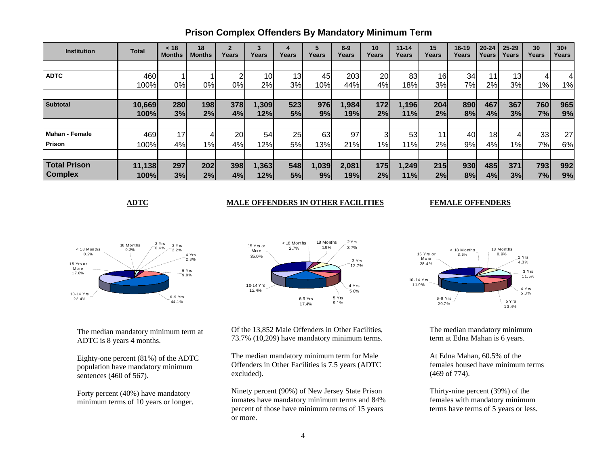| <b>Institution</b>    | <b>Total</b> | < 18<br>Months | 18<br><b>Months</b> | $\overline{2}$<br>Years | 3<br>Years | 4<br>Years      | Years | $6-9$<br>Years | 10<br>Years | $11 - 14$<br>Years | 15<br>Years     | 16-19<br>Years | $20 - 24$<br>Years | $25 - 29$<br>Years | 30<br>Years     | $30+$<br>Years  |
|-----------------------|--------------|----------------|---------------------|-------------------------|------------|-----------------|-------|----------------|-------------|--------------------|-----------------|----------------|--------------------|--------------------|-----------------|-----------------|
|                       |              |                |                     |                         |            |                 |       |                |             |                    |                 |                |                    |                    |                 |                 |
| <b>ADTC</b>           | 460          |                |                     | ົ                       | 10         | 13 <sub>1</sub> | 45    | 203            | 20          | 83                 | 16              | 34             | 11                 | 13                 |                 |                 |
|                       | 100%         | 0%             | 0%                  | 0%                      | 2%         | 3%              | 10%   | 44%            | 4%          | 18%                | 3%              | 7%             | 2%                 | 3%                 | 1%              | 1%              |
|                       |              |                |                     |                         |            |                 |       |                |             |                    |                 |                |                    |                    |                 |                 |
| <b>Subtotal</b>       | 10,669       | 280            | 198                 | 378                     | 1,309      | 523             | 976   | 1,984          | 172         | 1,196              | 204             | 890            | 467                | 367                | 760             | 965             |
|                       | 100%         | 3%             | 2%                  | 4%                      | 12%        | 5%              | 9%    | 19%            | 2%          | 11%                | 2%              | 8%             | 4%                 | 3%                 | 7%              | 9%              |
|                       |              |                |                     |                         |            |                 |       |                |             |                    |                 |                |                    |                    |                 |                 |
| <b>Mahan - Female</b> | 469          | 17             |                     | 20                      | 54         | 25              | 63    | 97             | 3           | 53                 | 11 <sub>1</sub> | 40             | 18                 | 4                  | 33 <sub>l</sub> | 27 <sup>1</sup> |
| <b>Prison</b>         | 100%         | 4%             | $1\%$               | 4%                      | 12%        | 5%              | 13%   | 21%            | $1\%$       | 11%                | 2%              | 9%             | 4%                 | $1\%$              | 7%              | 6%              |
|                       |              |                |                     |                         |            |                 |       |                |             |                    |                 |                |                    |                    |                 |                 |
| <b>Total Prison</b>   | 11,138       | 297            | 202                 | 398                     | 1,363      | 548             | 1,039 | 2,081          | 175         | 1,249              | 215             | 930            | 485                | 371                | 793             | 992             |
| <b>Complex</b>        | 100%         | 3%             | 2%                  | 4%                      | 12%        | 5%              | 9%    | 19%            | 2%          | 11%                | 2%              | 8%             | 4%                 | 3%                 | 7%              | 9%              |

## **Prison Complex Offenders By Mandatory Minimum Term**

#### **ADTC MALE OFFENDERS IN OTHER FACILITIES**

#### **FEMALE OFFENDERS**





The median mandatory minimum term at ADTC is 8 years 4 months.

Eighty-one percent (81%) of the ADTC population have mandatory minimum sentences (460 of 567).

Forty percent (40%) have mandatory minimum terms of 10 years or longer. Of the 13,852 Male Offenders in Other Facilities, 73.7% (10,209) have mandatory minimum terms.

The median mandatory minimum term for Male Offenders in Other Facilities is 7.5 years (ADTC excluded).

Ninety percent (90%) of New Jersey State Prison inmates have mandatory minimum terms and 84% percent of those have minimum terms of 15 years or more.



The median mandatory minimum term at Edna Mahan is 6 years.

At Edna Mahan, 60.5% of the females housed have minimum terms (469 of 774).

Thirty-nine percent (39%) of the females with mandatory minimum terms have terms of 5 years or less.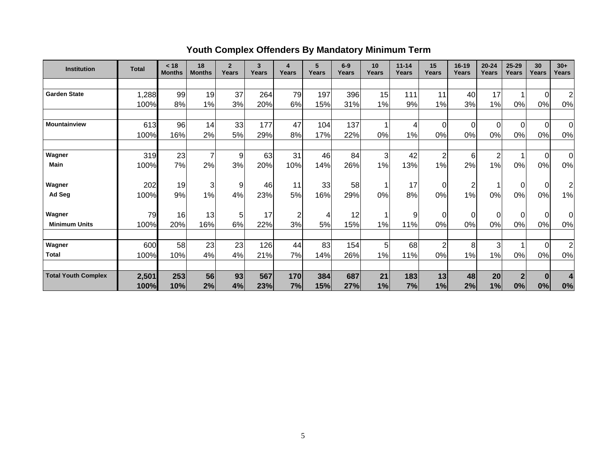# **Youth Complex Offenders By Mandatory Minimum Term**

| <b>Institution</b>         | <b>Total</b> | < 18<br><b>Months</b> | 18<br><b>Months</b> | $\overline{2}$<br>Years | 3<br>Years | 4<br>Years     | 5<br>Years | $6-9$<br>Years | 10 <sup>1</sup><br>Years | $11 - 14$<br>Years | 15<br>Years    | $16 - 19$<br>Years | $20 - 24$<br>Years | 25-29<br>Years | 30<br>Years    | $30+$<br><b>Years</b> |
|----------------------------|--------------|-----------------------|---------------------|-------------------------|------------|----------------|------------|----------------|--------------------------|--------------------|----------------|--------------------|--------------------|----------------|----------------|-----------------------|
|                            |              |                       |                     |                         |            |                |            |                |                          |                    |                |                    |                    |                |                |                       |
| <b>Garden State</b>        | 1,288        | 99                    | 19                  | 37                      | 264        | 79             | 197        | 396            | 15                       | 111                | 11             | 40                 | 17                 |                | $\Omega$       | $\overline{2}$        |
|                            | 100%         | 8%                    | 1%                  | 3%                      | 20%        | 6%             | 15%        | 31%            | 1%                       | 9%                 | 1%             | 3%                 | 1%                 | 0%             | 0%             | 0%                    |
|                            |              |                       |                     |                         |            |                |            |                |                          |                    |                |                    |                    |                |                |                       |
| <b>Mountainview</b>        | 613          | 96                    | 14                  | 33                      | 177        | 47             | 104        | 137            | 1                        | 4                  | 0              | $\mathbf 0$        | 0                  | $\overline{0}$ | $\overline{0}$ | $\overline{0}$        |
|                            | 100%         | 16%                   | 2%                  | 5%                      | 29%        | 8%             | 17%        | 22%            | 0%                       | 1%                 | 0%             | 0%                 | 0%                 | 0%             | 0%             | 0%                    |
| Wagner                     | 319          | 23                    |                     | 9                       | 63         | 31             | 46         | 84             | 3                        | 42                 | 2              | 6                  | $\overline{2}$     | 1              | $\overline{0}$ | $\Omega$              |
| <b>Main</b>                | 100%         | 7%                    | 2%                  | 3%                      | 20%        | 10%            | 14%        | 26%            | 1%                       | 13%                | 1%             | 2%                 | 1%                 | 0%             | 0%             | 0%                    |
| Wagner                     | 202          | 19                    | 3                   | 9                       | 46         | 11             | 33         | 58             | 1                        | 17                 | 0              | $\overline{c}$     | 1                  | $\overline{0}$ | $\overline{0}$ | $\overline{2}$        |
| Ad Seg                     | 100%         | 9%                    | 1%                  | 4%                      | 23%        | 5%             | 16%        | 29%            | 0%                       | 8%                 | 0%             | 1%                 | 0%                 | 0%             | 0%             | 1%                    |
| Wagner                     | 79           | 16                    | 13                  | 5 <sub>l</sub>          | 17         | $\overline{c}$ | 4          | 12             |                          | 9                  | 0              | $\mathbf 0$        | 0                  | $\Omega$       | $\overline{0}$ | 0                     |
| <b>Minimum Units</b>       | 100%         | 20%                   | 16%                 | 6%                      | 22%        | 3%             | 5%         | 15%            | 1%                       | 11%                | 0%             | 0%                 | 0%                 | 0%             | 0%             | 0%                    |
|                            |              |                       |                     |                         |            | 44             | 83         |                |                          |                    |                |                    |                    |                |                |                       |
| Wagner<br><b>Total</b>     | 600          | 58                    | 23                  | 23                      | 126        |                |            | 154            | 5                        | 68                 | $\overline{2}$ | 8                  | 3                  |                | $\Omega$       | $\overline{2}$        |
|                            | 100%         | 10%                   | 4%                  | 4%                      | 21%        | 7%             | 14%        | 26%            | 1%                       | 11%                | 0%             | 1%                 | 1%                 | 0%             | 0%             | 0%                    |
| <b>Total Youth Complex</b> | 2,501        | 253                   | 56                  | 93                      | 567        | 170            | 384        | 687            | 21                       | 183                | 13             | 48                 | 20                 | 2 <sub>l</sub> | $\bf{0}$       |                       |
|                            | 100%         | 10%                   | 2%                  | 4%                      | 23%        | 7%             | 15%        | 27%            | 1%                       | 7%                 | 1%             | 2%                 | 1%                 | 0%             | 0%             | 0%                    |